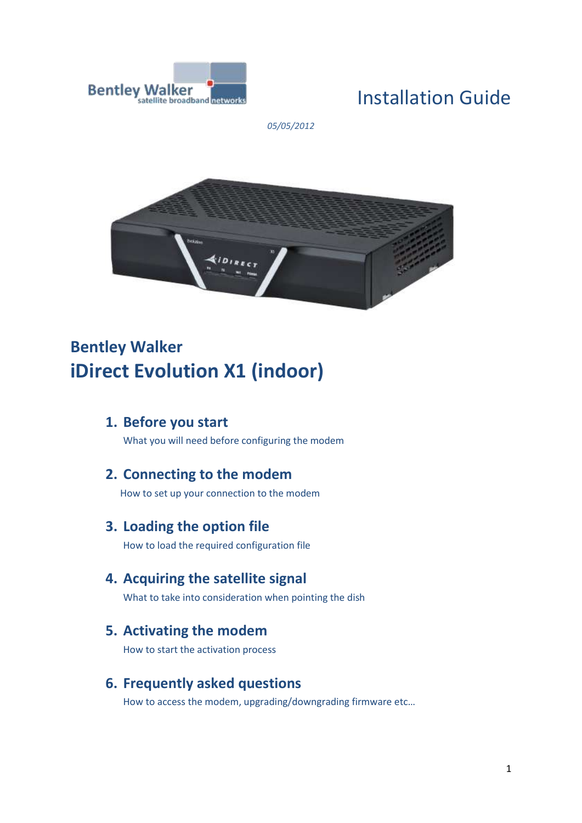

# Installation Guide

*05/05/2012*



# **Bentley Walker iDirect Evolution X1 (indoor)**

**1. Before you start**

What you will need before configuring the modem

### **2. Connecting to the modem**

How to set up your connection to the modem

**3. Loading the option file**

How to load the required configuration file

### **4. Acquiring the satellite signal**

What to take into consideration when pointing the dish

### **5. Activating the modem**

How to start the activation process

### **6. Frequently asked questions**

How to access the modem, upgrading/downgrading firmware etc…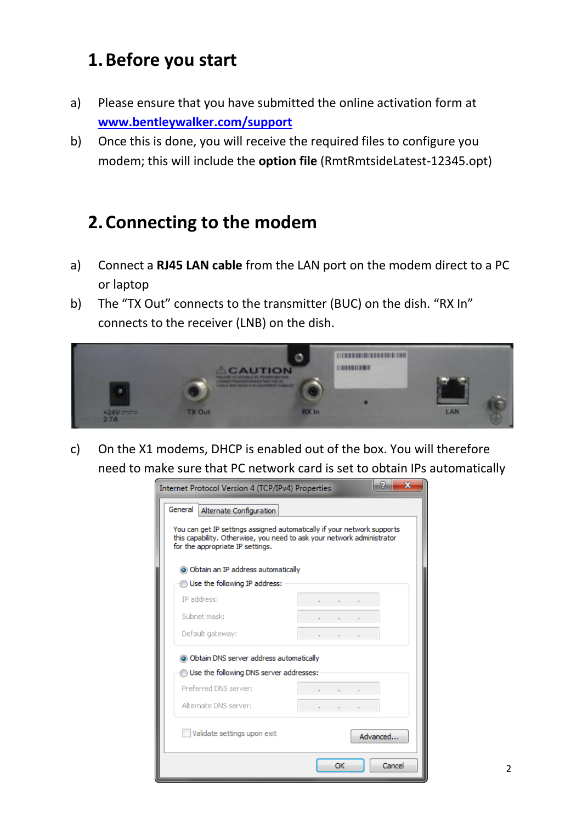## **1.Before you start**

- a) Please ensure that you have submitted the online activation form at **[www.bentleywalker.com/support](http://www.bentleywalker.com/support)**
- b) Once this is done, you will receive the required files to configure you modem; this will include the **option file** (RmtRmtsideLatest-12345.opt)

## **2.Connecting to the modem**

- a) Connect a **RJ45 LAN cable** from the LAN port on the modem direct to a PC or laptop
- b) The "TX Out" connects to the transmitter (BUC) on the dish. "RX In" connects to the receiver (LNB) on the dish.



c) On the X1 modems, DHCP is enabled out of the box. You will therefore need to make sure that PC network card is set to obtain IPs automatically

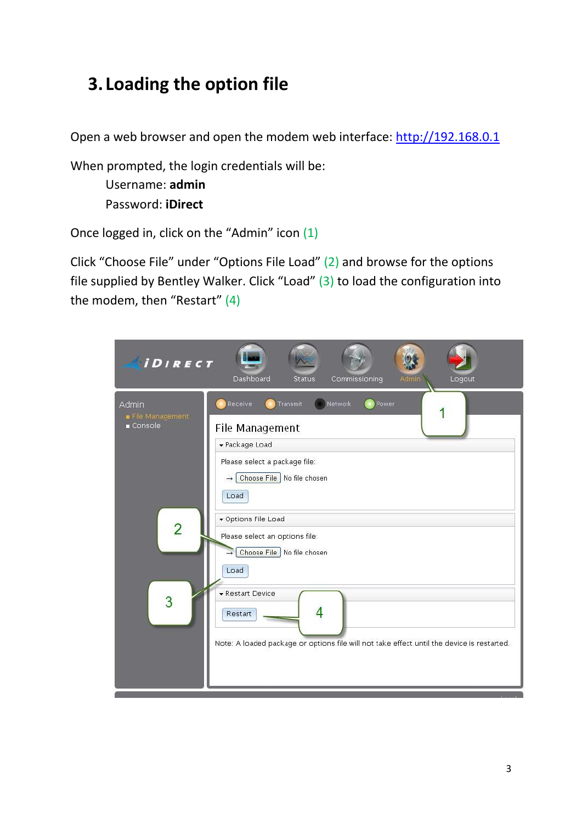# **3. Loading the option file**

Open a web browser and open the modem web interface: [http://192.168.0.1](http://192.168.0.1/)

When prompted, the login credentials will be:

Username: **admin** Password: **iDirect**

Once logged in, click on the "Admin" icon (1)

Click "Choose File" under "Options File Load" (2) and browse for the options file supplied by Bentley Walker. Click "Load" (3) to load the configuration into the modem, then "Restart" (4)

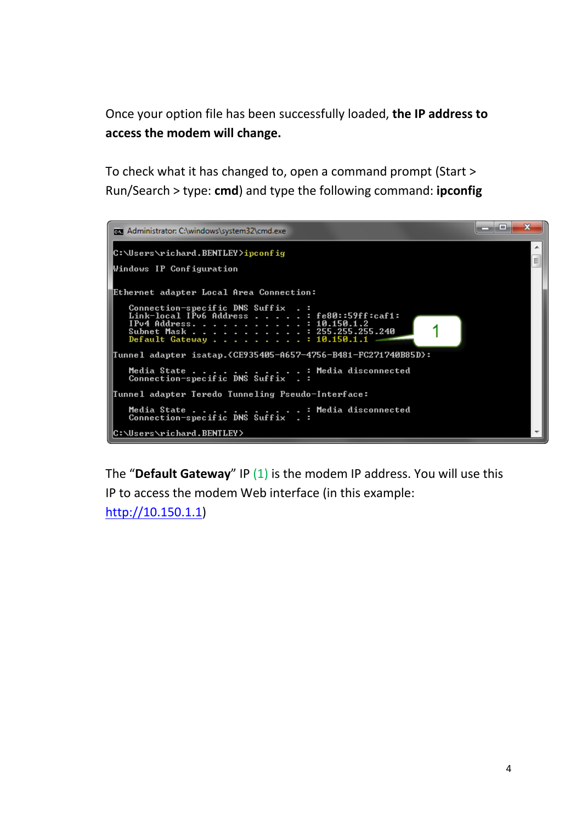Once your option file has been successfully loaded, **the IP address to access the modem will change.**

To check what it has changed to, open a command prompt (Start > Run/Search > type: **cmd**) and type the following command: **ipconfig**



The "**Default Gateway**" IP (1) is the modem IP address. You will use this IP to access the modem Web interface (in this example: [http://10.150.1.1\)](http://10.150.1.1/)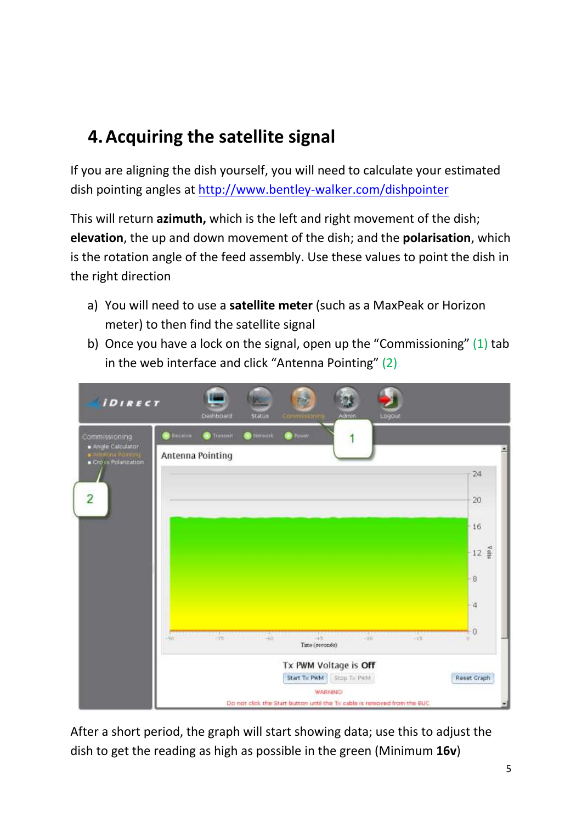# **4.Acquiring the satellite signal**

If you are aligning the dish yourself, you will need to calculate your estimated dish pointing angles at<http://www.bentley-walker.com/dishpointer>

This will return **azimuth,** which is the left and right movement of the dish; **elevation**, the up and down movement of the dish; and the **polarisation**, which is the rotation angle of the feed assembly. Use these values to point the dish in the right direction

- a) You will need to use a **satellite meter** (such as a MaxPeak or Horizon meter) to then find the satellite signal
- b) Once you have a lock on the signal, open up the "Commissioning"  $(1)$  tab in the web interface and click "Antenna Pointing" (2)

| <b><i>iDIRECT</i></b>                                         |                 | <b>Dashboard</b> | Status             | commercion de                                                             | Admin                    | Logout |       |                  |
|---------------------------------------------------------------|-----------------|------------------|--------------------|---------------------------------------------------------------------------|--------------------------|--------|-------|------------------|
| Commissioning                                                 | <b>O</b> BREADY | Transmit         | <b>B</b> Nitterark | $\bullet$ Former                                                          |                          |        |       |                  |
| Angle Calculator<br>· Antikina Painting<br>Cross Polarization |                 | Antenna Pointing |                    |                                                                           |                          |        |       |                  |
|                                                               |                 |                  |                    |                                                                           |                          |        |       | 24               |
| $\overline{c}$                                                |                 |                  |                    |                                                                           |                          |        |       | 20               |
|                                                               |                 |                  |                    |                                                                           |                          |        |       | 16               |
|                                                               |                 |                  |                    |                                                                           |                          |        |       | $12 \frac{8}{8}$ |
|                                                               |                 |                  |                    |                                                                           |                          |        |       | 8                |
|                                                               |                 |                  |                    |                                                                           |                          |        |       | 4                |
|                                                               | $\frac{1}{20}$  | $-15$            | $-60$              | $-45$                                                                     | $-30$                    |        | $-11$ | $\Omega$         |
|                                                               |                 |                  |                    | Time (seconde)                                                            |                          |        |       |                  |
|                                                               |                 |                  |                    | Tx PWM Voltage is Off                                                     |                          |        |       |                  |
|                                                               |                 |                  |                    | <b>WARNING</b>                                                            | Start Tx PWM Stop Tx PMM |        |       | Reset Graph      |
|                                                               |                 |                  |                    | Do not click the Start button until the Tx cable is removed from the BUC. |                          |        |       |                  |

After a short period, the graph will start showing data; use this to adjust the dish to get the reading as high as possible in the green (Minimum **16v**)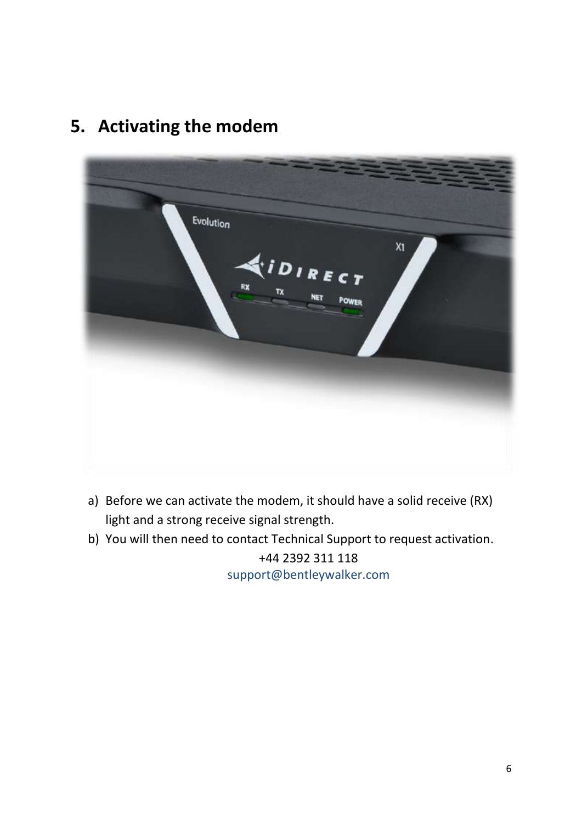

## **5. Activating the modem**

- a) Before we can activate the modem, it should have a solid receive (RX) light and a strong receive signal strength.
- b) You will then need to contact Technical Support to request activation.

+44 2392 311 118 [support@bentleywalker.com](mailto:support@bentleywalker.com)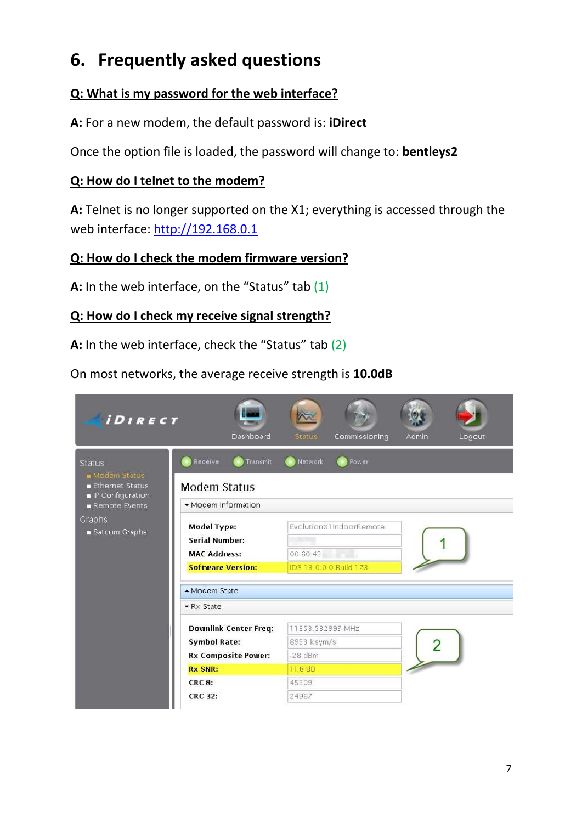# **6. Frequently asked questions**

## **Q: What is my password for the web interface?**

**A:** For a new modem, the default password is: **iDirect**

Once the option file is loaded, the password will change to: **bentleys2**

### **Q: How do I telnet to the modem?**

**A:** Telnet is no longer supported on the X1; everything is accessed through the web interface: [http://192.168.0.1](http://192.168.0.1/)

### **Q: How do I check the modem firmware version?**

**A:** In the web interface, on the "Status" tab (1)

### **Q: How do I check my receive signal strength?**

**A:** In the web interface, check the "Status" tab (2)

On most networks, the average receive strength is **10.0dB**

| <b><i>iDIRECT</i></b>                                               | Dashboard                                                                               | Commissioning<br><b>Status</b>                                 | Admin<br>Logout |  |  |  |
|---------------------------------------------------------------------|-----------------------------------------------------------------------------------------|----------------------------------------------------------------|-----------------|--|--|--|
| <b>Status</b><br>Modem Status<br>Ethernet Status<br>P Configuration | Receive<br>Transmit<br>Modem Status                                                     | Network<br>Power                                               |                 |  |  |  |
| Remote Events                                                       | Modem Information                                                                       |                                                                |                 |  |  |  |
| Graphs<br>■ Satcom Graphs                                           | Model Type:<br><b>Serial Number:</b><br><b>MAC Address:</b><br><b>Software Version:</b> | EvolutionX1IndoorRemote<br>00:60:43:<br>IDS 13.0.0.0 Build 173 |                 |  |  |  |
|                                                                     | - Modem State                                                                           |                                                                |                 |  |  |  |
|                                                                     | $\blacktriangleright$ R $\times$ State                                                  |                                                                |                 |  |  |  |
|                                                                     | <b>Downlink Center Freq:</b><br><b>Symbol Rate:</b><br><b>Rx Composite Power:</b>       | 11353.532999 MHz<br>8953 ksym/s<br>$-28$ dBm<br>11.8 dB        |                 |  |  |  |
|                                                                     | <b>Rx SNR:</b>                                                                          |                                                                |                 |  |  |  |
|                                                                     | <b>CRC 8:</b><br><b>CRC 32:</b>                                                         | 45309<br>24967                                                 |                 |  |  |  |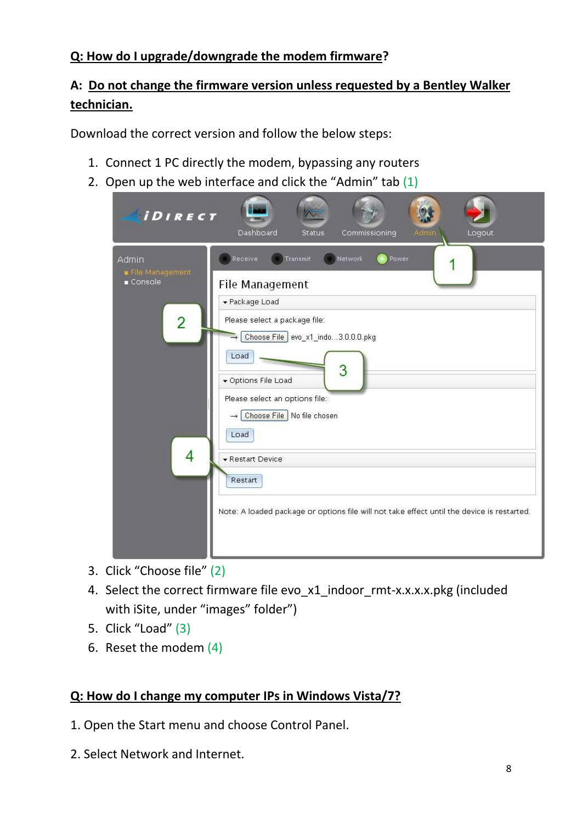### **Q: How do I upgrade/downgrade the modem firmware?**

## **A: Do not change the firmware version unless requested by a Bentley Walker technician.**

Download the correct version and follow the below steps:

- 1. Connect 1 PC directly the modem, bypassing any routers
- 2. Open up the web interface and click the "Admin" tab (1)

| <b><i>iDIRECT</i></b>                                         | Dashboard<br>Commissioning<br>Logout<br><b>Status</b><br>Admin                                                                                                                                                                                                                                                                                                                               |
|---------------------------------------------------------------|----------------------------------------------------------------------------------------------------------------------------------------------------------------------------------------------------------------------------------------------------------------------------------------------------------------------------------------------------------------------------------------------|
| Admin<br>File Management<br>$C$ onsole<br>$\overline{2}$<br>4 | Receive<br>Network<br>Power<br>Transmit<br>File Management<br>▼ Package Load<br>Please select a package file:<br>Choose File evo_x1_indo3.0.0.0.pkg<br>Load<br>3<br>▼ Options File Load<br>Please select an options file:<br>Choose File No file chosen<br>Load<br>▼ Restart Device<br>Restart<br>Note: A loaded package or options file will not take effect until the device is restarted. |

- 3. Click "Choose file" (2)
- 4. Select the correct firmware file evo\_x1\_indoor\_rmt-x.x.x.x.pkg (included with iSite, under "images" folder")
- 5. Click "Load" (3)
- 6. Reset the modem (4)

### **Q: How do I change my computer IPs in Windows Vista/7?**

- 1. Open the Start menu and choose Control Panel.
- 2. Select Network and Internet.